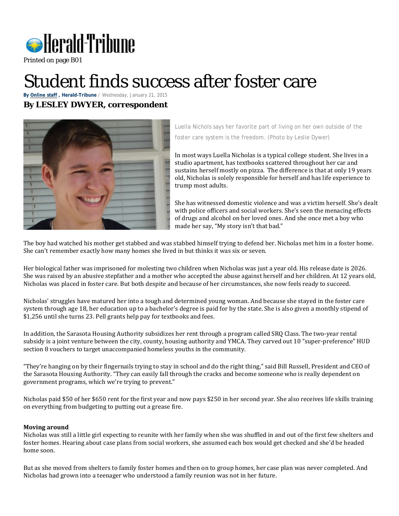

Printed on page B01

## Student finds success after foster care

**By [Online](http://extra.heraldtribune.com/author/nightdesk/) staff , Herald-Tribune** / Wednesday, January 21, 2015

## **By LESLEY DWYER, correspondent**



Luella Nichols says her favorite part of living on her own outside of the foster care system is the freedom. (Photo by Leslie Dywer)

In most ways Luella Nicholas is a typical college student. She lives in a studio apartment, has textbooks scattered throughout her car and sustains herself mostly on pizza. The difference is that at only 19 years old, Nicholas is solely responsible for herself and has life experience to trump most adults.

She has witnessed domestic violence and was a victim herself. She's dealt with police officers and social workers. She's seen the menacing effects of drugs and alcohol on her loved ones. And she once met a boy who made her say, "My story isn't that bad."

The boy had watched his mother get stabbed and was stabbed himself trying to defend her. Nicholas met him in a foster home. She can't remember exactly how many homes she lived in but thinks it was six or seven.

Her biological father was imprisoned for molesting two children when Nicholas was just a year old. His release date is 2026. She was raised by an abusive stepfather and a mother who accepted the abuse against herself and her children. At 12 years old, Nicholas was placed in foster care. But both despite and because of her circumstances, she now feels ready to succeed.

Nicholas' struggles have matured her into a tough and determined young woman. And because she stayed in the foster care system through age 18, her education up to a bachelor's degree is paid for by the state. She is also given a monthly stipend of \$1,256 until she turns 23. Pell grants help pay for textbooks and fees.

In addition, the Sarasota Housing Authority subsidizes her rent through a program called SRQ Class. The two-year rental subsidy is a joint venture between the city, county, housing authority and YMCA. They carved out 10 "super-preference" HUD section 8 vouchers to target unaccompanied homeless youths in the community.

"They're hanging on by their fingernails trying to stay in school and do the right thing," said Bill Russell, President and CEO of the Sarasota Housing Authority. "They can easily fall through the cracks and become someone who is really dependent on government programs, which we're trying to prevent."

Nicholas paid \$50 of her \$650 rent for the first year and now pays \$250 in her second year. She also receives life skills training on everything from budgeting to putting out a grease fire.

## **Moving around**

Nicholas was still a little girl expecting to reunite with her family when she was shuffled in and out of the first few shelters and foster homes. Hearing about case plans from social workers, she assumed each box would get checked and she'd be headed home soon.

But as she moved from shelters to family foster homes and then on to group homes, her case plan was never completed. And Nicholas had grown into a teenager who understood a family reunion was not in her future.